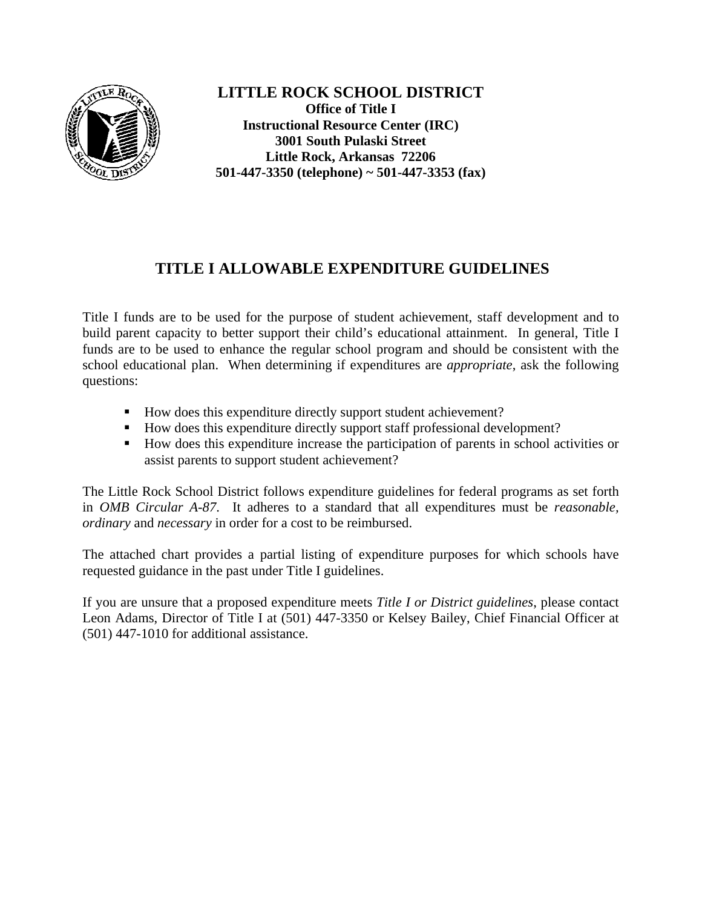

**LITTLE ROCK SCHOOL DISTRICT Office of Title I Instructional Resource Center (IRC) 3001 South Pulaski Street Little Rock, Arkansas 72206 501-447-3350 (telephone) ~ 501-447-3353 (fax)**

# **TITLE I ALLOWABLE EXPENDITURE GUIDELINES**

Title I funds are to be used for the purpose of student achievement, staff development and to build parent capacity to better support their child's educational attainment. In general, Title I funds are to be used to enhance the regular school program and should be consistent with the school educational plan. When determining if expenditures are *appropriate*, ask the following questions:

- How does this expenditure directly support student achievement?
- How does this expenditure directly support staff professional development?
- How does this expenditure increase the participation of parents in school activities or assist parents to support student achievement?

The Little Rock School District follows expenditure guidelines for federal programs as set forth in *OMB Circular A-87*. It adheres to a standard that all expenditures must be *reasonable, ordinary* and *necessary* in order for a cost to be reimbursed.

The attached chart provides a partial listing of expenditure purposes for which schools have requested guidance in the past under Title I guidelines.

If you are unsure that a proposed expenditure meets *Title I or District guidelines*, please contact Leon Adams, Director of Title I at (501) 447-3350 or Kelsey Bailey, Chief Financial Officer at (501) 447-1010 for additional assistance.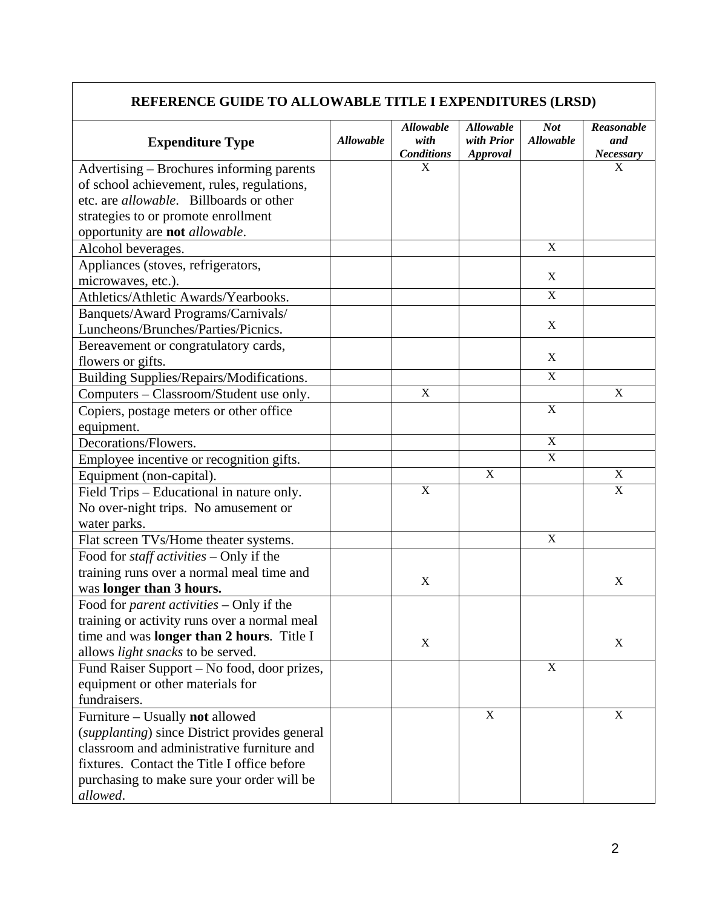## **REFERENCE GUIDE TO ALLOWABLE TITLE I EXPENDITURES (LRSD)**

| <b>Expenditure Type</b>                           | <b>Allowable</b> | <b>Allowable</b><br>with | <b>Allowable</b><br>with Prior | <b>Not</b><br><b>Allowable</b> | Reasonable<br>and         |
|---------------------------------------------------|------------------|--------------------------|--------------------------------|--------------------------------|---------------------------|
|                                                   |                  | <b>Conditions</b>        | <b>Approval</b>                |                                | <b>Necessary</b>          |
| Advertising – Brochures informing parents         |                  | X                        |                                |                                | X                         |
| of school achievement, rules, regulations,        |                  |                          |                                |                                |                           |
| etc. are <i>allowable</i> . Billboards or other   |                  |                          |                                |                                |                           |
| strategies to or promote enrollment               |                  |                          |                                |                                |                           |
| opportunity are not allowable.                    |                  |                          |                                |                                |                           |
| Alcohol beverages.                                |                  |                          |                                | $\mathbf X$                    |                           |
| Appliances (stoves, refrigerators,                |                  |                          |                                | $\mathbf X$                    |                           |
| microwaves, etc.).                                |                  |                          |                                |                                |                           |
| Athletics/Athletic Awards/Yearbooks.              |                  |                          |                                | $\mathbf X$                    |                           |
| Banquets/Award Programs/Carnivals/                |                  |                          |                                | X                              |                           |
| Luncheons/Brunches/Parties/Picnics.               |                  |                          |                                |                                |                           |
| Bereavement or congratulatory cards,              |                  |                          |                                | X                              |                           |
| flowers or gifts.                                 |                  |                          |                                |                                |                           |
| Building Supplies/Repairs/Modifications.          |                  |                          |                                | $\mathbf X$                    |                           |
| Computers - Classroom/Student use only.           |                  | $\mathbf X$              |                                |                                | X                         |
| Copiers, postage meters or other office           |                  |                          |                                | $\mathbf X$                    |                           |
| equipment.                                        |                  |                          |                                |                                |                           |
| Decorations/Flowers.                              |                  |                          |                                | $\mathbf X$                    |                           |
| Employee incentive or recognition gifts.          |                  |                          |                                | $\mathbf X$                    |                           |
| Equipment (non-capital).                          |                  |                          | $\mathbf X$                    |                                | $\boldsymbol{\mathrm{X}}$ |
| Field Trips - Educational in nature only.         |                  | $\mathbf X$              |                                |                                | X                         |
| No over-night trips. No amusement or              |                  |                          |                                |                                |                           |
| water parks.                                      |                  |                          |                                |                                |                           |
| Flat screen TVs/Home theater systems.             |                  |                          |                                | $\mathbf X$                    |                           |
| Food for <i>staff activities</i> - Only if the    |                  |                          |                                |                                |                           |
| training runs over a normal meal time and         |                  | X                        |                                |                                | X                         |
| was longer than 3 hours.                          |                  |                          |                                |                                |                           |
| Food for <i>parent activities</i> - Only if the   |                  |                          |                                |                                |                           |
| training or activity runs over a normal meal      |                  |                          |                                |                                |                           |
| time and was <b>longer than 2 hours</b> . Title I |                  | X                        |                                |                                | X                         |
| allows <i>light snacks</i> to be served.          |                  |                          |                                |                                |                           |
| Fund Raiser Support – No food, door prizes,       |                  |                          |                                | $\mathbf X$                    |                           |
| equipment or other materials for                  |                  |                          |                                |                                |                           |
| fundraisers.                                      |                  |                          | $\mathbf X$                    |                                |                           |
| Furniture - Usually not allowed                   |                  |                          |                                |                                | $\mathbf X$               |
| (supplanting) since District provides general     |                  |                          |                                |                                |                           |
| classroom and administrative furniture and        |                  |                          |                                |                                |                           |
| fixtures. Contact the Title I office before       |                  |                          |                                |                                |                           |
| purchasing to make sure your order will be        |                  |                          |                                |                                |                           |
| allowed.                                          |                  |                          |                                |                                |                           |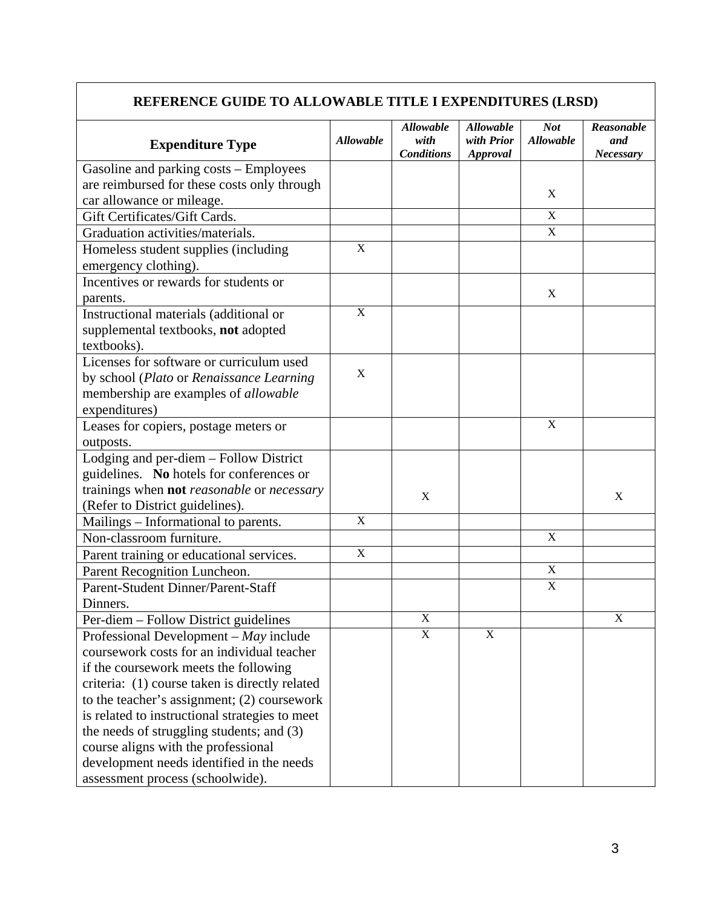## **REFERENCE GUIDE TO ALLOWABLE TITLE I EXPENDITURES (LRSD)**

| <b>Expenditure Type</b>                        | <b>Allowable</b> | <b>Allowable</b><br>with<br><b>Conditions</b> | <b>Allowable</b><br>with Prior<br>Approval | <b>Not</b><br><b>Allowable</b> | Reasonable<br>and<br><b>Necessary</b> |
|------------------------------------------------|------------------|-----------------------------------------------|--------------------------------------------|--------------------------------|---------------------------------------|
| Gasoline and parking costs – Employees         |                  |                                               |                                            |                                |                                       |
| are reimbursed for these costs only through    |                  |                                               |                                            |                                |                                       |
| car allowance or mileage.                      |                  |                                               |                                            | X                              |                                       |
| Gift Certificates/Gift Cards.                  |                  |                                               |                                            | $\mathbf X$                    |                                       |
| Graduation activities/materials.               |                  |                                               |                                            | X                              |                                       |
| Homeless student supplies (including           | X                |                                               |                                            |                                |                                       |
| emergency clothing).                           |                  |                                               |                                            |                                |                                       |
| Incentives or rewards for students or          |                  |                                               |                                            |                                |                                       |
| parents.                                       |                  |                                               |                                            | X                              |                                       |
| Instructional materials (additional or         | X                |                                               |                                            |                                |                                       |
| supplemental textbooks, not adopted            |                  |                                               |                                            |                                |                                       |
| textbooks).                                    |                  |                                               |                                            |                                |                                       |
| Licenses for software or curriculum used       |                  |                                               |                                            |                                |                                       |
| by school (Plato or Renaissance Learning       | X                |                                               |                                            |                                |                                       |
| membership are examples of <i>allowable</i>    |                  |                                               |                                            |                                |                                       |
| expenditures)                                  |                  |                                               |                                            |                                |                                       |
| Leases for copiers, postage meters or          |                  |                                               |                                            | X                              |                                       |
| outposts.                                      |                  |                                               |                                            |                                |                                       |
| Lodging and per-diem - Follow District         |                  |                                               |                                            |                                |                                       |
| guidelines. No hotels for conferences or       |                  |                                               |                                            |                                |                                       |
| trainings when not reasonable or necessary     |                  | X                                             |                                            |                                | X                                     |
| (Refer to District guidelines).                |                  |                                               |                                            |                                |                                       |
| Mailings - Informational to parents.           | X                |                                               |                                            |                                |                                       |
| Non-classroom furniture.                       |                  |                                               |                                            | X                              |                                       |
| Parent training or educational services.       | X                |                                               |                                            |                                |                                       |
| Parent Recognition Luncheon.                   |                  |                                               |                                            | $\mathbf X$                    |                                       |
| Parent-Student Dinner/Parent-Staff             |                  |                                               |                                            | $\boldsymbol{\mathrm{X}}$      |                                       |
| Dinners.                                       |                  |                                               |                                            |                                |                                       |
| Per-diem - Follow District guidelines          |                  | $\mathbf X$                                   |                                            |                                | X                                     |
| Professional Development $-May$ include        |                  | X                                             | X                                          |                                |                                       |
| coursework costs for an individual teacher     |                  |                                               |                                            |                                |                                       |
| if the coursework meets the following          |                  |                                               |                                            |                                |                                       |
| criteria: (1) course taken is directly related |                  |                                               |                                            |                                |                                       |
| to the teacher's assignment; (2) coursework    |                  |                                               |                                            |                                |                                       |
| is related to instructional strategies to meet |                  |                                               |                                            |                                |                                       |
| the needs of struggling students; and (3)      |                  |                                               |                                            |                                |                                       |
| course aligns with the professional            |                  |                                               |                                            |                                |                                       |
| development needs identified in the needs      |                  |                                               |                                            |                                |                                       |
| assessment process (schoolwide).               |                  |                                               |                                            |                                |                                       |